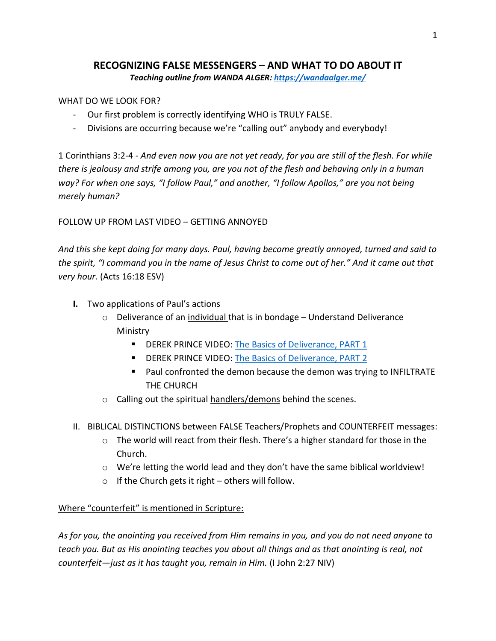# **RECOGNIZING FALSE MESSENGERS – AND WHAT TO DO ABOUT IT** *Teaching outline from WANDA ALGER[: https://wandaalger.me/](https://wandaalger.me/)*

### WHAT DO WE LOOK FOR?

- Our first problem is correctly identifying WHO is TRULY FALSE.
- Divisions are occurring because we're "calling out" anybody and everybody!

1 Corinthians 3:2-4 - *And even now you are not yet ready, for you are still of the flesh. For while there is jealousy and strife among you, are you not of the flesh and behaving only in a human way? For when one says, "I follow Paul," and another, "I follow Apollos," are you not being merely human?*

## FOLLOW UP FROM LAST VIDEO – GETTING ANNOYED

*And this she kept doing for many days. Paul, having become greatly annoyed, turned and said to the spirit, "I command you in the name of Jesus Christ to come out of her." And it came out that very hour.* (Acts 16:18 ESV)

- **I.** Two applications of Paul's actions
	- o Deliverance of an individual that is in bondage Understand Deliverance Ministry
		- **E** DEREK PRINCE VIDEO: [The Basics of Deliverance, PART 1](https://www.youtube.com/watch?v=Yzivz7gcMtE&list=PLGRvM4C6YHPuDyRLg70HxDYj1OImbxAA7&index=1)
		- **EXECTER PRINCE VIDEO: [The Basics of Deliverance, PART 2](https://www.youtube.com/watch?v=3CsiGNxexRc&list=PLGRvM4C6YHPuDyRLg70HxDYj1OImbxAA7&index=2)**
		- Paul confronted the demon because the demon was trying to INFILTRATE THE CHURCH
	- $\circ$  Calling out the spiritual handlers/demons behind the scenes.
- II. BIBLICAL DISTINCTIONS between FALSE Teachers/Prophets and COUNTERFEIT messages:
	- o The world will react from their flesh. There's a higher standard for those in the Church.
	- o We're letting the world lead and they don't have the same biblical worldview!
	- $\circ$  If the Church gets it right others will follow.

#### Where "counterfeit" is mentioned in Scripture:

*As for you, the anointing you received from Him remains in you, and you do not need anyone to teach you. But as His anointing teaches you about all things and as that anointing is real, not counterfeit—just as it has taught you, remain in Him.* (I John 2:27 NIV)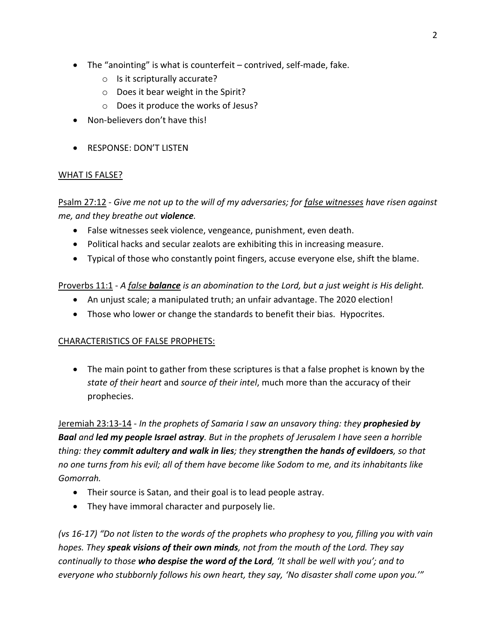- The "anointing" is what is counterfeit contrived, self-made, fake.
	- o Is it scripturally accurate?
	- o Does it bear weight in the Spirit?
	- o Does it produce the works of Jesus?
- Non-believers don't have this!
- RESPONSE: DON'T LISTEN

## WHAT IS FALSE?

Psalm 27:12 - *Give me not up to the will of my adversaries; for false witnesses have risen against me, and they breathe out violence.*

- False witnesses seek violence, vengeance, punishment, even death.
- Political hacks and secular zealots are exhibiting this in increasing measure.
- Typical of those who constantly point fingers, accuse everyone else, shift the blame.

## Proverbs 11:1 - *A false balance is an abomination to the Lord, but a just weight is His delight.*

- An unjust scale; a manipulated truth; an unfair advantage. The 2020 election!
- Those who lower or change the standards to benefit their bias. Hypocrites.

## CHARACTERISTICS OF FALSE PROPHETS:

• The main point to gather from these scriptures is that a false prophet is known by the *state of their heart* and *source of their intel*, much more than the accuracy of their prophecies.

Jeremiah 23:13-14 *- In the prophets of Samaria I saw an unsavory thing: they prophesied by Baal and led my people Israel astray. But in the prophets of Jerusalem I have seen a horrible thing: they commit adultery and walk in lies; they strengthen the hands of evildoers, so that no one turns from his evil; all of them have become like Sodom to me, and its inhabitants like Gomorrah.*

- Their source is Satan, and their goal is to lead people astray.
- They have immoral character and purposely lie.

*(vs 16-17) "Do not listen to the words of the prophets who prophesy to you, filling you with vain hopes. They speak visions of their own minds, not from the mouth of the Lord. They say continually to those who despise the word of the Lord, 'It shall be well with you'; and to everyone who stubbornly follows his own heart, they say, 'No disaster shall come upon you.'"*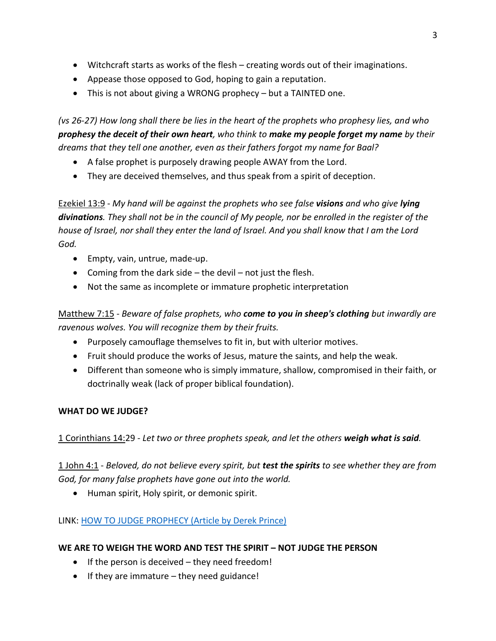- Witchcraft starts as works of the flesh creating words out of their imaginations.
- Appease those opposed to God, hoping to gain a reputation.
- This is not about giving a WRONG prophecy but a TAINTED one.

*(vs 26-27) How long shall there be lies in the heart of the prophets who prophesy lies, and who prophesy the deceit of their own heart, who think to make my people forget my name by their dreams that they tell one another, even as their fathers forgot my name for Baal?*

- A false prophet is purposely drawing people AWAY from the Lord.
- They are deceived themselves, and thus speak from a spirit of deception.

Ezekiel 13:9 - *My hand will be against the prophets who see false visions and who give lying divinations. They shall not be in the council of My people, nor be enrolled in the register of the house of Israel, nor shall they enter the land of Israel. And you shall know that I am the Lord God.*

- Empty, vain, untrue, made-up.
- Coming from the dark side  $-$  the devil  $-$  not just the flesh.
- Not the same as incomplete or immature prophetic interpretation

Matthew 7:15 - *Beware of false prophets, who come to you in sheep's clothing but inwardly are ravenous wolves. You will recognize them by their fruits.*

- Purposely camouflage themselves to fit in, but with ulterior motives.
- Fruit should produce the works of Jesus, mature the saints, and help the weak.
- Different than someone who is simply immature, shallow, compromised in their faith, or doctrinally weak (lack of proper biblical foundation).

# **WHAT DO WE JUDGE?**

1 Corinthians 14:29 - *Let two or three prophets speak, and let the others weigh what is said.*

# 1 John 4:1 - *Beloved, do not believe every spirit, but test the spirits to see whether they are from God, for many false prophets have gone out into the world.*

• Human spirit, Holy spirit, or demonic spirit.

# LINK: [HOW TO JUDGE PROPHECY \(Article by Derek Prince\)](https://www.derekprince.com.au/resources/teaching-letters/how-to-judge-prophecy)

# **WE ARE TO WEIGH THE WORD AND TEST THE SPIRIT – NOT JUDGE THE PERSON**

- If the person is deceived they need freedom!
- If they are immature they need guidance!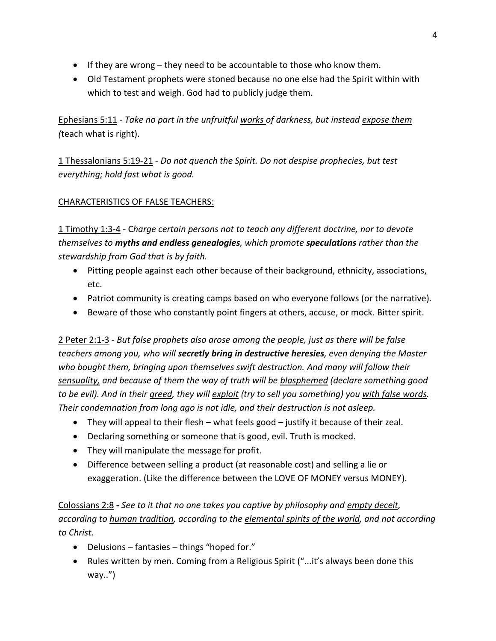- If they are wrong they need to be accountable to those who know them.
- Old Testament prophets were stoned because no one else had the Spirit within with which to test and weigh. God had to publicly judge them.

Ephesians 5:11 - *Take no part in the unfruitful works of darkness, but instead expose them (*teach what is right).

1 Thessalonians 5:19-21 *- Do not quench the Spirit. Do not despise prophecies, but test everything; hold fast what is good.*

# CHARACTERISTICS OF FALSE TEACHERS:

1 Timothy 1:3-4 - C*harge certain persons not to teach any different doctrine, nor to devote themselves to myths and endless genealogies, which promote speculations rather than the stewardship from God that is by faith.*

- Pitting people against each other because of their background, ethnicity, associations, etc.
- Patriot community is creating camps based on who everyone follows (or the narrative).
- Beware of those who constantly point fingers at others, accuse, or mock. Bitter spirit.

2 Peter 2:1-3 - *But false prophets also arose among the people, just as there will be false teachers among you, who will secretly bring in destructive heresies, even denying the Master who bought them, bringing upon themselves swift destruction. And many will follow their sensuality, and because of them the way of truth will be blasphemed (declare something good to be evil). And in their greed, they will exploit (try to sell you something) you with false words. Their condemnation from long ago is not idle, and their destruction is not asleep.*

- They will appeal to their flesh what feels good justify it because of their zeal.
- Declaring something or someone that is good, evil. Truth is mocked.
- They will manipulate the message for profit.
- Difference between selling a product (at reasonable cost) and selling a lie or exaggeration. (Like the difference between the LOVE OF MONEY versus MONEY).

Colossians 2:8 **-** *See to it that no one takes you captive by philosophy and empty deceit, according to human tradition, according to the elemental spirits of the world, and not according to Christ.*

- Delusions fantasies things "hoped for."
- Rules written by men. Coming from a Religious Spirit ("...it's always been done this way..")